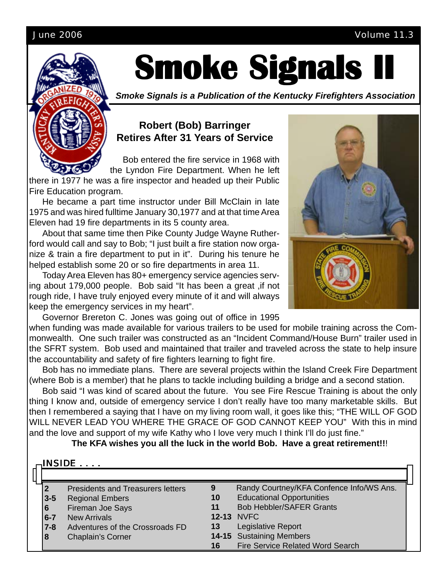#### June 2006 Volume 11.3



# **Smoke Signals II Smoke Signals II Smoke Signals II**

*Smoke Signals is a Publication of the Kentucky Firefighters Association*

#### **Robert (Bob) Barringer Retires After 31 Years of Service**

 Bob entered the fire service in 1968 with the Lyndon Fire Department. When he left

there in 1977 he was a fire inspector and headed up their Public Fire Education program.

He became a part time instructor under Bill McClain in late 1975 and was hired fulltime January 30,1977 and at that time Area Eleven had 19 fire departments in its 5 county area.

About that same time then Pike County Judge Wayne Rutherford would call and say to Bob; "I just built a fire station now organize & train a fire department to put in it". During his tenure he helped establish some 20 or so fire departments in area 11.

Today Area Eleven has 80+ emergency service agencies serving about 179,000 people. Bob said "It has been a great ,if not rough ride, I have truly enjoyed every minute of it and will always keep the emergency services in my heart".

Governor Brereton C. Jones was going out of office in 1995

when funding was made available for various trailers to be used for mobile training across the Commonwealth. One such trailer was constructed as an "Incident Command/House Burn" trailer used in the SFRT system. Bob used and maintained that trailer and traveled across the state to help insure the accountability and safety of fire fighters learning to fight fire.

Bob has no immediate plans. There are several projects within the Island Creek Fire Department (where Bob is a member) that he plans to tackle including building a bridge and a second station.

Bob said "I was kind of scared about the future. You see Fire Rescue Training is about the only thing I know and, outside of emergency service I don't really have too many marketable skills. But then I remembered a saying that I have on my living room wall, it goes like this; "THE WILL OF GOD WILL NEVER LEAD YOU WHERE THE GRACE OF GOD CANNOT KEEP YOU" With this in mind and the love and support of my wife Kathy who I love very much I think I'll do just fine."

**The KFA wishes you all the luck in the world Bob. Have a great retirement!!**!

| $\cdot$ INSIDE $\,\ldots\,$ |                                          |    |                                          |  |  |  |  |  |  |  |  |
|-----------------------------|------------------------------------------|----|------------------------------------------|--|--|--|--|--|--|--|--|
|                             | <b>Presidents and Treasurers letters</b> | 9  | Randy Courtney/KFA Confence Info/WS Ans. |  |  |  |  |  |  |  |  |
| $3-5$                       | <b>Regional Embers</b>                   | 10 | <b>Educational Opportunities</b>         |  |  |  |  |  |  |  |  |
| 6                           | Fireman Joe Says                         | 11 | <b>Bob Hebbler/SAFER Grants</b>          |  |  |  |  |  |  |  |  |
| $6 - 7$                     | <b>New Arrivals</b>                      |    | <b>12-13 NVFC</b>                        |  |  |  |  |  |  |  |  |
| $7 - 8$                     | Adventures of the Crossroads FD          | 13 | Legislative Report                       |  |  |  |  |  |  |  |  |
| 8                           | <b>Chaplain's Corner</b>                 |    | 14-15 Sustaining Members                 |  |  |  |  |  |  |  |  |
|                             |                                          | 16 | Fire Service Related Word Search         |  |  |  |  |  |  |  |  |

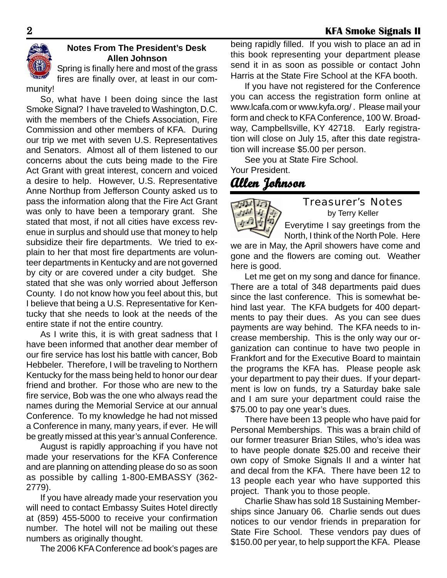

#### **Notes From The President's Desk Allen Johnson**

Spring is finally here and most of the grass fires are finally over, at least in our community!

So, what have I been doing since the last Smoke Signal? I have traveled to Washington, D.C. with the members of the Chiefs Association, Fire Commission and other members of KFA. During our trip we met with seven U.S. Representatives and Senators. Almost all of them listened to our concerns about the cuts being made to the Fire Act Grant with great interest, concern and voiced a desire to help. However, U.S. Representative Anne Northup from Jefferson County asked us to pass the information along that the Fire Act Grant was only to have been a temporary grant. She stated that most, if not all cities have excess revenue in surplus and should use that money to help subsidize their fire departments. We tried to explain to her that most fire departments are volunteer departments in Kentucky and are not governed by city or are covered under a city budget. She stated that she was only worried about Jefferson County. I do not know how you feel about this, but I believe that being a U.S. Representative for Kentucky that she needs to look at the needs of the entire state if not the entire country.

As I write this, it is with great sadness that I have been informed that another dear member of our fire service has lost his battle with cancer, Bob Hebbeler. Therefore, I will be traveling to Northern Kentucky for the mass being held to honor our dear friend and brother. For those who are new to the fire service, Bob was the one who always read the names during the Memorial Service at our annual Conference. To my knowledge he had not missed a Conference in many, many years, if ever. He will be greatly missed at this year's annual Conference.

August is rapidly approaching if you have not made your reservations for the KFA Conference and are planning on attending please do so as soon as possible by calling 1-800-EMBASSY (362- 2779).

If you have already made your reservation you will need to contact Embassy Suites Hotel directly at (859) 455-5000 to receive your confirmation number. The hotel will not be mailing out these numbers as originally thought.

The 2006 KFA Conference ad book's pages are

being rapidly filled. If you wish to place an ad in this book representing your department please send it in as soon as possible or contact John Harris at the State Fire School at the KFA booth.

If you have not registered for the Conference you can access the registration form online at www.lcafa.com or www.kyfa.org/ . Please mail your form and check to KFA Conference, 100 W. Broadway, Campbellsville, KY 42718. Early registration will close on July 15, after this date registration will increase \$5.00 per person.

See you at State Fire School. Your President.

## **Allen Johnson Allen**



#### Treasurer's Notes by Terry Keller

Everytime I say greetings from the

North, I think of the North Pole. Here we are in May, the April showers have come and gone and the flowers are coming out. Weather here is good.

Let me get on my song and dance for finance. There are a total of 348 departments paid dues since the last conference. This is somewhat behind last year. The KFA budgets for 400 departments to pay their dues. As you can see dues payments are way behind. The KFA needs to increase membership. This is the only way our organization can continue to have two people in Frankfort and for the Executive Board to maintain the programs the KFA has. Please people ask your department to pay their dues. If your department is low on funds, try a Saturday bake sale and I am sure your department could raise the \$75.00 to pay one year's dues.

There have been 13 people who have paid for Personal Memberships. This was a brain child of our former treasurer Brian Stiles, who's idea was to have people donate \$25.00 and receive their own copy of Smoke Signals II and a winter hat and decal from the KFA. There have been 12 to 13 people each year who have supported this project. Thank you to those people.

Charlie Shaw has sold 18 Sustaining Memberships since January 06. Charlie sends out dues notices to our vendor friends in preparation for State Fire School. These vendors pay dues of \$150.00 per year, to help support the KFA. Please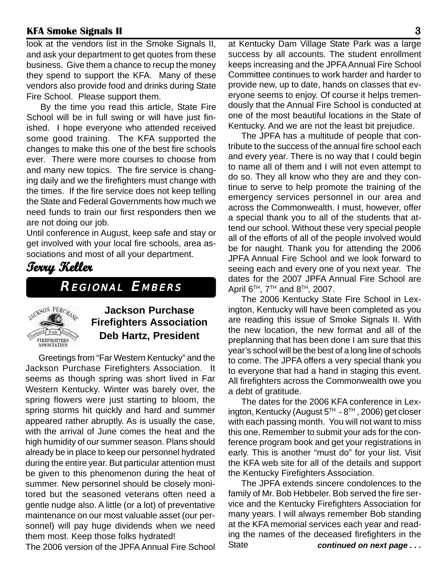look at the vendors list in the Smoke Signals II, and ask your department to get quotes from these business. Give them a chance to recup the money they spend to support the KFA. Many of these vendors also provide food and drinks during State Fire School. Please support them.

By the time you read this article, State Fire School will be in full swing or will have just finished. I hope everyone who attended received some good training. The KFA supported the changes to make this one of the best fire schools ever. There were more courses to choose from and many new topics. The fire service is changing daily and we the firefighters must change with the times. If the fire service does not keep telling the State and Federal Governments how much we need funds to train our first responders then we are not doing our job.

Until conference in August, keep safe and stay or get involved with your local fire schools, area associations and most of all your department.

### **Terry Keller erry Keller**

REGIONAL EMBERS



#### **Jackson Purchase Firefighters Association Deb Hartz, President**

Greetings from "Far Western Kentucky" and the Jackson Purchase Firefighters Association. It seems as though spring was short lived in Far Western Kentucky. Winter was barely over, the spring flowers were just starting to bloom, the spring storms hit quickly and hard and summer appeared rather abruptly. As is usually the case, with the arrival of June comes the heat and the high humidity of our summer season. Plans should already be in place to keep our personnel hydrated during the entire year. But particular attention must be given to this phenomenon during the heat of summer. New personnel should be closely monitored but the seasoned veterans often need a gentle nudge also. A little (or a lot) of preventative maintenance on our most valuable asset (our personnel) will pay huge dividends when we need them most. Keep those folks hydrated!

The 2006 version of the JPFA Annual Fire School

at Kentucky Dam Village State Park was a large success by all accounts. The student enrollment keeps increasing and the JPFA Annual Fire School Committee continues to work harder and harder to provide new, up to date, hands on classes that everyone seems to enjoy. Of course it helps tremendously that the Annual Fire School is conducted at one of the most beautiful locations in the State of Kentucky. And we are not the least bit prejudice.

The JPFA has a multitude of people that contribute to the success of the annual fire school each and every year. There is no way that I could begin to name all of them and I will not even attempt to do so. They all know who they are and they continue to serve to help promote the training of the emergency services personnel in our area and across the Commonwealth. I must, however, offer a special thank you to all of the students that attend our school. Without these very special people all of the efforts of all of the people involved would be for naught. Thank you for attending the 2006 JPFA Annual Fire School and we look forward to seeing each and every one of you next year. The dates for the 2007 JPFA Annual Fire School are April  $6^{TH}$ ,  $7^{TH}$  and  $8^{TH}$ , 2007.

The 2006 Kentucky State Fire School in Lexington, Kentucky will have been completed as you are reading this issue of Smoke Signals II. With the new location, the new format and all of the preplanning that has been done I am sure that this year's school will be the best of a long line of schools to come. The JPFA offers a very special thank you to everyone that had a hand in staging this event. All firefighters across the Commonwealth owe you a debt of gratitude.

The dates for the 2006 KFA conference in Lexington, Kentucky (August  $5<sup>TH</sup> - 8<sup>TH</sup>$ , 2006) get closer with each passing month. You will not want to miss this one. Remember to submit your ads for the conference program book and get your registrations in early. This is another "must do" for your list. Visit the KFA web site for all of the details and support the Kentucky Firefighters Association.

 *continued on next page . . .* The JPFA extends sincere condolences to the family of Mr. Bob Hebbeler. Bob served the fire service and the Kentucky Firefighters Association for many years. I will always remember Bob standing at the KFA memorial services each year and reading the names of the deceased firefighters in the **State**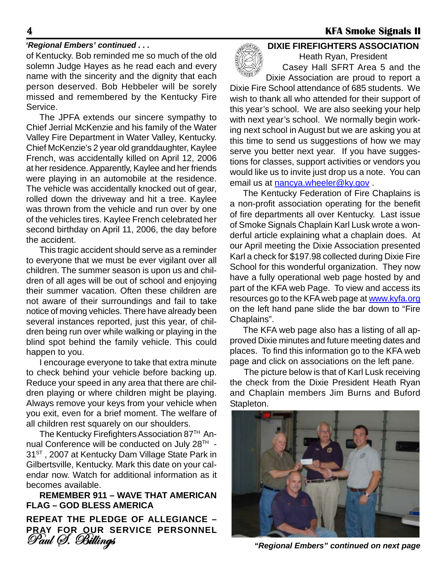#### *'Regional Embers' continued . . .*

of Kentucky. Bob reminded me so much of the old solemn Judge Hayes as he read each and every name with the sincerity and the dignity that each person deserved. Bob Hebbeler will be sorely missed and remembered by the Kentucky Fire Service.

The JPFA extends our sincere sympathy to Chief Jerrial McKenzie and his family of the Water Valley Fire Department in Water Valley, Kentucky. Chief McKenzie's 2 year old granddaughter, Kaylee French, was accidentally killed on April 12, 2006 at her residence. Apparently, Kaylee and her friends were playing in an automobile at the residence. The vehicle was accidentally knocked out of gear, rolled down the driveway and hit a tree. Kaylee was thrown from the vehicle and run over by one of the vehicles tires. Kaylee French celebrated her second birthday on April 11, 2006, the day before the accident.

This tragic accident should serve as a reminder to everyone that we must be ever vigilant over all children. The summer season is upon us and children of all ages will be out of school and enjoying their summer vacation. Often these children are not aware of their surroundings and fail to take notice of moving vehicles. There have already been several instances reported, just this year, of children being run over while walking or playing in the blind spot behind the family vehicle. This could happen to you.

I encourage everyone to take that extra minute to check behind your vehicle before backing up. Reduce your speed in any area that there are children playing or where children might be playing. Always remove your keys from your vehicle when you exit, even for a brief moment. The welfare of all children rest squarely on our shoulders.

The Kentucky Firefighters Association 87<sup>TH</sup> Annual Conference will be conducted on July 28<sup>TH</sup> -31<sup>ST</sup>, 2007 at Kentucky Dam Village State Park in Gilbertsville, Kentucky. Mark this date on your calendar now. Watch for additional information as it becomes available.

**REMEMBER 911 – WAVE THAT AMERICAN FLAG – GOD BLESS AMERICA**

**REPEAT THE PLEDGE OF ALLEGIANCE – PRAY FOR OUR SERVICE PERSONNEL** Paul S. Billings



**DIXIE FIREFIGHTERS ASSOCIATION** Heath Ryan, President

Casey Hall SFRT Area 5 and the Dixie Association are proud to report a

Dixie Fire School attendance of 685 students. We wish to thank all who attended for their support of this year's school. We are also seeking your help with next year's school. We normally begin working next school in August but we are asking you at this time to send us suggestions of how we may serve you better next year. If you have suggestions for classes, support activities or vendors you would like us to invite just drop us a note. You can email us at nancya.wheeler@ky.gov.

The Kentucky Federation of Fire Chaplains is a non-profit association operating for the benefit of fire departments all over Kentucky. Last issue of Smoke Signals Chaplain Karl Lusk wrote a wonderful article explaining what a chaplain does. At our April meeting the Dixie Association presented Karl a check for \$197.98 collected during Dixie Fire School for this wonderful organization. They now have a fully operational web page hosted by and part of the KFA web Page. To view and access its resources go to the KFA web page at www.kyfa.org on the left hand pane slide the bar down to "Fire Chaplains".

The KFA web page also has a listing of all approved Dixie minutes and future meeting dates and places. To find this information go to the KFA web page and click on associations on the left pane.

The picture below is that of Karl Lusk receiving the check from the Dixie President Heath Ryan and Chaplain members Jim Burns and Buford Stapleton.



*"Regional Embers" continued on next page*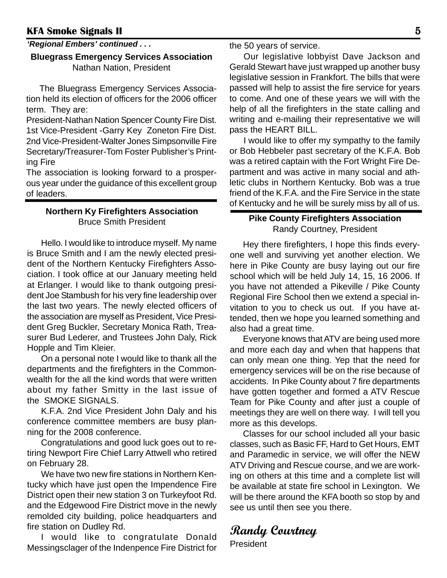#### *'Regional Embers' continued . . .*

#### **Bluegrass Emergency Services Association** Nathan Nation, President

The Bluegrass Emergency Services Association held its election of officers for the 2006 officer term. They are:

President-Nathan Nation Spencer County Fire Dist. 1st Vice-President -Garry Key Zoneton Fire Dist. 2nd Vice-President-Walter Jones Simpsonville Fire Secretary/Treasurer-Tom Foster Publisher's Printing Fire

The association is looking forward to a prosperous year under the guidance of this excellent group of leaders.

#### **Northern Ky Firefighters Association** Bruce Smith President

Hello. I would like to introduce myself. My name is Bruce Smith and I am the newly elected president of the Northern Kentucky Firefighters Association. I took office at our January meeting held at Erlanger. I would like to thank outgoing president Joe Stambush for his very fine leadership over the last two years. The newly elected officers of the association are myself as President, Vice President Greg Buckler, Secretary Monica Rath, Treasurer Bud Lederer, and Trustees John Daly, Rick Hopple and Tim Kleier.

 On a personal note I would like to thank all the departments and the firefighters in the Commonwealth for the all the kind words that were written about my father Smitty in the last issue of the SMOKE SIGNALS.

 K.F.A. 2nd Vice President John Daly and his conference committee members are busy planning for the 2008 conference.

 Congratulations and good luck goes out to retiring Newport Fire Chief Larry Attwell who retired on February 28.

We have two new fire stations in Northern Kentucky which have just open the Impendence Fire District open their new station 3 on Turkeyfoot Rd. and the Edgewood Fire District move in the newly remolded city building, police headquarters and fire station on Dudley Rd.

I would like to congratulate Donald Messingsclager of the Indenpence Fire District for the 50 years of service.

Our legislative lobbyist Dave Jackson and Gerald Stewart have just wrapped up another busy legislative session in Frankfort. The bills that were passed will help to assist the fire service for years to come. And one of these years we will with the help of all the firefighters in the state calling and writing and e-mailing their representative we will pass the HEART BILL.

I would like to offer my sympathy to the family or Bob Hebbeler past secretary of the K.F.A. Bob was a retired captain with the Fort Wright Fire Department and was active in many social and athletic clubs in Northern Kentucky. Bob was a true friend of the K.F.A. and the Fire Service in the state of Kentucky and he will be surely miss by all of us.

#### **Pike County Firefighters Association** Randy Courtney, President

Hey there firefighters, I hope this finds everyone well and surviving yet another election. We here in Pike County are busy laying out our fire school which will be held July 14, 15, 16 2006. If you have not attended a Pikeville / Pike County Regional Fire School then we extend a special invitation to you to check us out. If you have attended, then we hope you learned something and also had a great time.

Everyone knows that ATV are being used more and more each day and when that happens that can only mean one thing. Yep that the need for emergency services will be on the rise because of accidents. In Pike County about 7 fire departments have gotten together and formed a ATV Rescue Team for Pike County and after just a couple of meetings they are well on there way. I will tell you more as this develops.

Classes for our school included all your basic classes, such as Basic FF, Hard to Get Hours, EMT and Paramedic in service, we will offer the NEW ATV Driving and Rescue course, and we are working on others at this time and a complete list will be available at state fire school in Lexington. We will be there around the KFA booth so stop by and see us until then see you there.

### **Randy Courtney**

President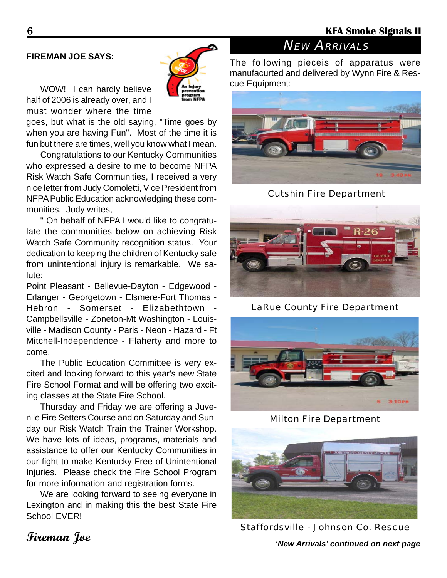#### **FIREMAN JOE SAYS:**

WOW! I can hardly believe half of 2006 is already over, and I must wonder where the time

goes, but what is the old saying, "Time goes by when you are having Fun". Most of the time it is fun but there are times, well you know what I mean.

Congratulations to our Kentucky Communities who expressed a desire to me to become NFPA Risk Watch Safe Communities, I received a very nice letter from Judy Comoletti, Vice President from NFPA Public Education acknowledging these communities. Judy writes,

" On behalf of NFPA I would like to congratulate the communities below on achieving Risk Watch Safe Community recognition status. Your dedication to keeping the children of Kentucky safe from unintentional injury is remarkable. We salute:

Point Pleasant - Bellevue-Dayton - Edgewood - Erlanger - Georgetown - Elsmere-Fort Thomas - Hebron - Somerset - Elizabethtown - Campbellsville - Zoneton-Mt Washington - Louisville - Madison County - Paris - Neon - Hazard - Ft Mitchell-Independence - Flaherty and more to come.

The Public Education Committee is very excited and looking forward to this year's new State Fire School Format and will be offering two exciting classes at the State Fire School.

Thursday and Friday we are offering a Juvenile Fire Setters Course and on Saturday and Sunday our Risk Watch Train the Trainer Workshop. We have lots of ideas, programs, materials and assistance to offer our Kentucky Communities in our fight to make Kentucky Free of Unintentional Injuries. Please check the Fire School Program for more information and registration forms.

We are looking forward to seeing everyone in Lexington and in making this the best State Fire School **FVFR!** 

## **NEW ARRIVALS**

The following pieceis of apparatus were manufacurted and delivered by Wynn Fire & Rescue Equipment:



Cutshin Fire Department



LaRue County Fire Department



Milton Fire Department



Staffordsville - Johnson Co. Rescue

*'New Arrivals' continued on next page*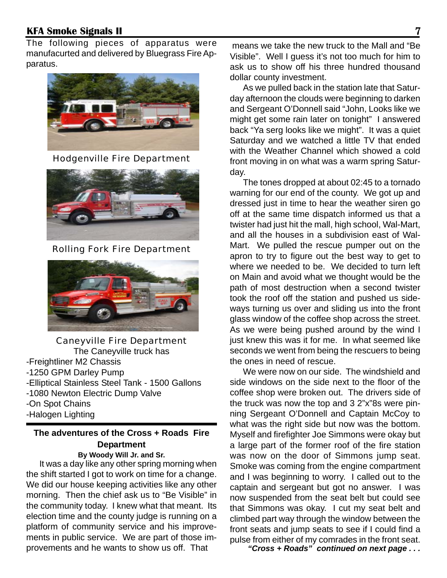The following pieces of apparatus were manufacurted and delivered by Bluegrass Fire Apparatus.



Hodgenville Fire Department



Rolling Fork Fire Department



Caneyville Fire Department The Caneyville truck has -Freightliner M2 Chassis -1250 GPM Darley Pump -Elliptical Stainless Steel Tank - 1500 Gallons -1080 Newton Electric Dump Valve -On Spot Chains -Halogen Lighting

#### **The adventures of the Cross + Roads Fire Department**

#### **By Woody Will Jr. and Sr.**

It was a day like any other spring morning when the shift started I got to work on time for a change. We did our house keeping activities like any other morning. Then the chief ask us to "Be Visible" in the community today. I knew what that meant. Its election time and the county judge is running on a platform of community service and his improvements in public service. We are part of those improvements and he wants to show us off. That **"** "Cross + Roads" continued on next page . . .

 means we take the new truck to the Mall and "Be Visible". Well I guess it's not too much for him to ask us to show off his three hundred thousand dollar county investment.

As we pulled back in the station late that Saturday afternoon the clouds were beginning to darken and Sergeant O'Donnell said "John, Looks like we might get some rain later on tonight" I answered back "Ya serg looks like we might". It was a quiet Saturday and we watched a little TV that ended with the Weather Channel which showed a cold front moving in on what was a warm spring Saturday.

The tones dropped at about 02:45 to a tornado warning for our end of the county. We got up and dressed just in time to hear the weather siren go off at the same time dispatch informed us that a twister had just hit the mall, high school, Wal-Mart, and all the houses in a subdivision east of Wal-Mart. We pulled the rescue pumper out on the apron to try to figure out the best way to get to where we needed to be. We decided to turn left on Main and avoid what we thought would be the path of most destruction when a second twister took the roof off the station and pushed us sideways turning us over and sliding us into the front glass window of the coffee shop across the street. As we were being pushed around by the wind I just knew this was it for me. In what seemed like seconds we went from being the rescuers to being the ones in need of rescue.

We were now on our side. The windshield and side windows on the side next to the floor of the coffee shop were broken out. The drivers side of the truck was now the top and 3 2"x"8s were pinning Sergeant O'Donnell and Captain McCoy to what was the right side but now was the bottom. Myself and firefighter Joe Simmons were okay but a large part of the former roof of the fire station was now on the door of Simmons jump seat. Smoke was coming from the engine compartment and I was beginning to worry. I called out to the captain and sergeant but got no answer. I was now suspended from the seat belt but could see that Simmons was okay. I cut my seat belt and climbed part way through the window between the front seats and jump seats to see if I could find a pulse from either of my comrades in the front seat.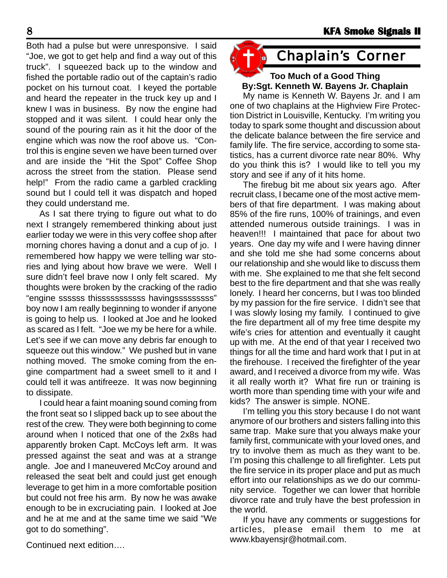Both had a pulse but were unresponsive. I said "Joe, we got to get help and find a way out of this truck". I squeezed back up to the window and fished the portable radio out of the captain's radio pocket on his turnout coat. I keyed the portable and heard the repeater in the truck key up and I knew I was in business. By now the engine had stopped and it was silent. I could hear only the sound of the pouring rain as it hit the door of the engine which was now the roof above us. "Control this is engine seven we have been turned over and are inside the "Hit the Spot" Coffee Shop across the street from the station. Please send help!" From the radio came a garbled crackling sound but I could tell it was dispatch and hoped they could understand me.

As I sat there trying to figure out what to do next I strangely remembered thinking about just earlier today we were in this very coffee shop after morning chores having a donut and a cup of jo. I remembered how happy we were telling war stories and lying about how brave we were. Well I sure didn't feel brave now I only felt scared. My thoughts were broken by the cracking of the radio "engine ssssss thisssssssssss havingsssssssss" boy now I am really beginning to wonder if anyone is going to help us. I looked at Joe and he looked as scared as I felt. "Joe we my be here for a while. Let's see if we can move any debris far enough to squeeze out this window." We pushed but in vane nothing moved. The smoke coming from the engine compartment had a sweet smell to it and I could tell it was antifreeze. It was now beginning to dissipate.

I could hear a faint moaning sound coming from the front seat so I slipped back up to see about the rest of the crew. They were both beginning to come around when I noticed that one of the 2x8s had apparently broken Capt. McCoys left arm. It was pressed against the seat and was at a strange angle. Joe and I maneuvered McCoy around and released the seat belt and could just get enough leverage to get him in a more comfortable position but could not free his arm. By now he was awake enough to be in excruciating pain. I looked at Joe and he at me and at the same time we said "We got to do something".

## Chaplain's Corner

#### **Too Much of a Good Thing By:Sgt. Kenneth W. Bayens Jr. Chaplain**

My name is Kenneth W. Bayens Jr. and I am one of two chaplains at the Highview Fire Protection District in Louisville, Kentucky. I'm writing you today to spark some thought and discussion about the delicate balance between the fire service and family life. The fire service, according to some statistics, has a current divorce rate near 80%. Why do you think this is? I would like to tell you my story and see if any of it hits home.

The firebug bit me about six years ago. After recruit class, I became one of the most active members of that fire department. I was making about 85% of the fire runs, 100% of trainings, and even attended numerous outside trainings. I was in heaven!!! I maintained that pace for about two years. One day my wife and I were having dinner and she told me she had some concerns about our relationship and she would like to discuss them with me. She explained to me that she felt second best to the fire department and that she was really lonely. I heard her concerns, but I was too blinded by my passion for the fire service. I didn't see that I was slowly losing my family. I continued to give the fire department all of my free time despite my wife's cries for attention and eventually it caught up with me. At the end of that year I received two things for all the time and hard work that I put in at the firehouse. I received the firefighter of the year award, and I received a divorce from my wife. Was it all really worth it? What fire run or training is worth more than spending time with your wife and kids? The answer is simple. NONE.

I'm telling you this story because I do not want anymore of our brothers and sisters falling into this same trap. Make sure that you always make your family first, communicate with your loved ones, and try to involve them as much as they want to be. I'm posing this challenge to all firefighter. Lets put the fire service in its proper place and put as much effort into our relationships as we do our community service. Together we can lower that horrible divorce rate and truly have the best profession in the world.

If you have any comments or suggestions for articles, please email them to me at www.kbayensjr@hotmail.com.

Continued next edition….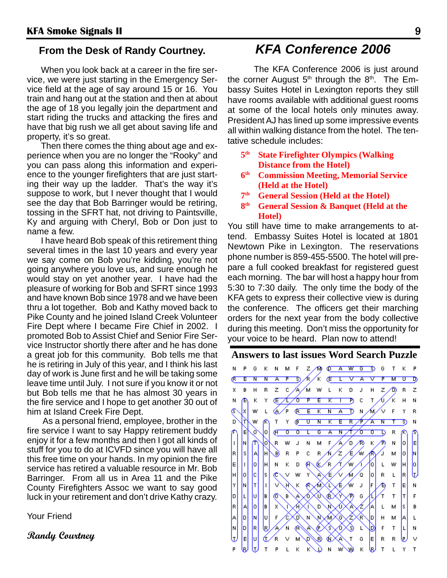#### **From the Desk of Randy Courtney.**

When you look back at a career in the fire service, we were just starting in the Emergency Service field at the age of say around 15 or 16. You train and hang out at the station and then at about the age of 18 you legally join the department and start riding the trucks and attacking the fires and have that big rush we all get about saving life and property, it's so great.

Then there comes the thing about age and experience when you are no longer the "Rooky" and you can pass along this information and experience to the younger firefighters that are just starting their way up the ladder. That's the way it's suppose to work, but I never thought that I would see the day that Bob Barringer would be retiring, tossing in the SFRT hat, not driving to Paintsville, Ky and arguing with Cheryl, Bob or Don just to name a few.

I have heard Bob speak of this retirement thing several times in the last 10 years and every year we say come on Bob you're kidding, you're not going anywhere you love us, and sure enough he would stay on yet another year. I have had the pleasure of working for Bob and SFRT since 1993 and have known Bob since 1978 and we have been thru a lot together. Bob and Kathy moved back to Pike County and he joined Island Creek Volunteer Fire Dept where I became Fire Chief in 2002. I promoted Bob to Assist Chief and Senior Fire Service Instructor shortly there after and he has done a great job for this community. Bob tells me that he is retiring in July of this year, and I think his last day of work is June first and he will be taking some leave time until July. I not sure if you know it or not but Bob tells me that he has almost 30 years in the fire service and I hope to get another 30 out of him at Island Creek Fire Dept.

 As a personal friend, employee, brother in the fire service I want to say Happy retirement buddy enjoy it for a few months and then I got all kinds of stuff for you to do at ICVFD since you will have all this free time on your hands. In my opinion the fire service has retired a valuable resource in Mr. Bob Barringer. From all us in Area 11 and the Pike County Firefighters Assoc we want to say good luck in your retirement and don't drive Kathy crazy.

Your Friend

**Randy Courtney**

#### *KFA Conference 2006*

The KFA Conference 2006 is just around the corner August  $5<sup>th</sup>$  through the  $8<sup>th</sup>$ . The Embassy Suites Hotel in Lexington reports they still have rooms available with additional guest rooms at some of the local hotels only minutes away. President AJ has lined up some impressive events all within walking distance from the hotel. The tentative schedule includes:

- **5th State Firefighter Olympics (Walking Distance from the Hotel)**
- **6th Commission Meeting, Memorial Service (Held at the Hotel)**
- **7th General Session (Held at the Hotel)**
- **8th General Session & Banquet (Held at the Hotel)**

You still have time to make arrangements to attend. Embassy Suites Hotel is located at 1801 Newtown Pike in Lexington. The reservations phone number is 859-455-5500. The hotel will prepare a full cooked breakfast for registered guest each morning. The bar will host a happy hour from 5:30 to 7:30 daily. The only time the body of the KFA gets to express their collective view is during the conference. The officers get their marching orders for the next year from the body collective during this meeting. Don't miss the opportunity for your voice to be heard. Plan now to attend!

#### **Answers to last issues Word Search Puzzle**

N  $\mathsf{P}$ G K N M F  $Z/M$   $Q$   $A$   $W$   $G$   $S$  $\overline{G}$  $T$  $K$   $P$ জ. ⁄R∕K (E L V A M ᠊ᡨ᠊ Æ Έ  $\overline{\mathbf{N}}$ N A P ▽  $R$   $Z$   $C$ **A∕MWLKD**  $\overline{z}$  $\mathsf B$  $\mathsf H$  $\mathsf J$  $H$ ® R x - Z Κ Th c  $T$ Á.  $\overline{H}$ N æ К Υ (<del>Ε ∕</del>Γ∕σ F Έ ҡ  $\top$ N 6.∕P E K N A D N Ġ  $\vert x \vert$  $\mathsf{L}^ \mathbb{C}$ ∧√√ Υ W F R F Έ  $\overline{\mathsf{R}}$ ∕∱ ∕⊼ D w  $\mathsf{T}$ Y Ő  $\overline{\mathsf{U}}$  $\overline{\mathbf{N}}$ Κ ষ্ঠ N E √ò lо  $\overline{a}$  $\overline{\mathfrak{o}}$ τ  $\overline{G}$  $\overline{\mathbf{A}}$  $\overline{\mathbf{N}}$  , ᠊ᡏᢐ  $\overline{\sigma}$ ъ R h. o  $\bar{\mathsf{F}}$ ∕∿ lм П Iб  $\mathsf R$ w J N м Ō, Κ N İΕ 4 /w R  $|\mathbf{s}|$  $\ddot{\rm c}$  $\bar{\mathsf{R}}$ ╱ Æ ሐ 0 Iн  $\overline{\mathsf{R}}$  $\mathsf P$ € м M ļΑ O) E ∕R ∕w.  $\,G\,$ s. T. lo. lн N K  $\mathsf D$  $\vert 0 \vert$  $\mathsf L$ w H ю ŀ, Iн Įс R lo. ls. w ∿ ∕₫  $\mathsf R$ c v ∕€ lol  $\mathsf L$ ∕ (1 Y E lм Iт h F  $\top$ Ĥ. K C J ∕₿ N Œ b. łт Jυ lв. G L O 46.  $\mathsf T$  $\mathsf{F}$ β, ω C K Έ R.  $\vert$ o lв. Æ, s, ΙA X 40 A A L м Β  $\sqrt{2}$  $\mathsf{F}$ |a **N** Įυ ᢙ A 6 **KD** G N Ń. lо  $H$ М L lм lo. **R** le, 'N € ◌ D  $\mathsf{F}$  $\top$ L A ß 40  $\mathsf{L}$ N E ᡁ Įυ Q G E e R C. R R ٧ B 1e ⊍  $\kappa$ P  $\mathsf{T}$ L К K D N w w ⊌  $\mathsf{T}$ L Υ  $\sf T$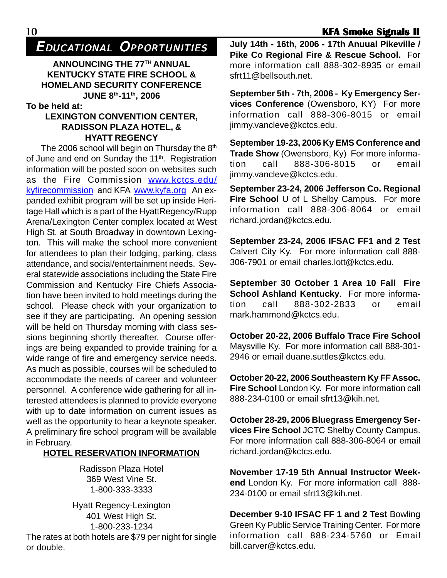EDUCATIONAL OPPORTUNITIES

**ANNOUNCING THE 77TH ANNUAL KENTUCKY STATE FIRE SCHOOL & HOMELAND SECURITY CONFERENCE JUNE 8th-11th, 2006**

**To be held at:**

#### **LEXINGTON CONVENTION CENTER, RADISSON PLAZA HOTEL, & HYATT REGENCY**

The 2006 school will begin on Thursday the 8<sup>th</sup> of June and end on Sunday the 11<sup>th</sup>. Registration information will be posted soon on websites such as the Fire Commission www.kctcs.edu/ kyfirecommission and KFA www.kyfa.org An expanded exhibit program will be set up inside Heritage Hall which is a part of the HyattRegency/Rupp Arena/Lexington Center complex located at West High St. at South Broadway in downtown Lexington. This will make the school more convenient for attendees to plan their lodging, parking, class attendance, and social/entertainment needs. Several statewide associations including the State Fire Commission and Kentucky Fire Chiefs Association have been invited to hold meetings during the school. Please check with your organization to see if they are participating. An opening session will be held on Thursday morning with class sessions beginning shortly thereafter. Course offerings are being expanded to provide training for a wide range of fire and emergency service needs. As much as possible, courses will be scheduled to accommodate the needs of career and volunteer personnel. A conference wide gathering for all interested attendees is planned to provide everyone with up to date information on current issues as well as the opportunity to hear a keynote speaker. A preliminary fire school program will be available in February.

#### **HOTEL RESERVATION INFORMATION**

Radisson Plaza Hotel 369 West Vine St. 1-800-333-3333

Hyatt Regency-Lexington 401 West High St. 1-800-233-1234 The rates at both hotels are \$79 per night for single or double.

**July 14th - 16th, 2006 - 17th Anuual Pikeville / Pike Co Regional Fire & Rescue School.** For more information call 888-302-8935 or email sfrt11@bellsouth.net

**September 5th - 7th, 2006 - Ky Emergency Services Conference** (Owensboro, KY) For more information call 888-306-8015 or email jimmy.vancleve@kctcs.edu.

**September 19-23, 2006 Ky EMS Conference and Trade Show** (Owensboro, Ky) For more information call 888-306-8015 or email jimmy.vancleve@kctcs.edu.

**September 23-24, 2006 Jefferson Co. Regional Fire School** U of L Shelby Campus. For more information call 888-306-8064 or email richard.jordan@kctcs.edu.

**September 23-24, 2006 IFSAC FF1 and 2 Test** Calvert City Ky. For more information call 888- 306-7901 or email charles.lott@kctcs.edu.

**September 30 October 1 Area 10 Fall Fire School Ashland Kentucky**. For more information call 888-302-2833 or email mark.hammond@kctcs.edu.

**October 20-22, 2006 Buffalo Trace Fire School** Maysville Ky. For more information call 888-301- 2946 or email duane.suttles@kctcs.edu.

**October 20-22, 2006 Southeastern Ky FF Assoc. Fire School** London Ky. For more information call 888-234-0100 or email sfrt13@kih.net.

**October 28-29, 2006 Bluegrass Emergency Services Fire School** JCTC Shelby County Campus. For more information call 888-306-8064 or email richard.jordan@kctcs.edu.

**November 17-19 5th Annual Instructor Weekend** London Ky. For more information call 888- 234-0100 or email sfrt13@kih.net.

**December 9-10 IFSAC FF 1 and 2 Test** Bowling Green Ky Public Service Training Center. For more information call 888-234-5760 or Email bill.carver@kctcs.edu.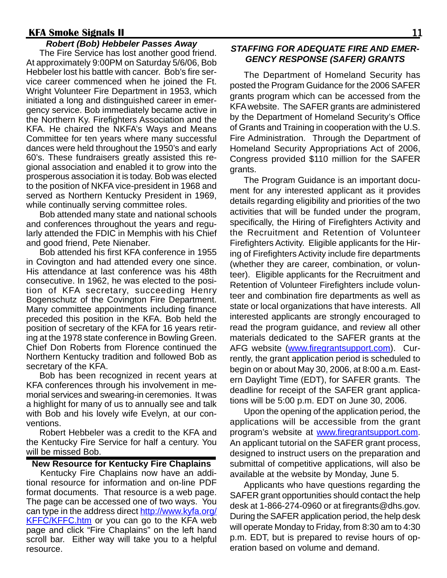#### *Robert (Bob) Hebbeler Passes Away*

The Fire Service has lost another good friend. At approximately 9:00PM on Saturday 5/6/06, Bob Hebbeler lost his battle with cancer. Bob's fire service career commenced when he joined the Ft. Wright Volunteer Fire Department in 1953, which initiated a long and distinguished career in emergency service. Bob immediately became active in the Northern Ky. Firefighters Association and the KFA. He chaired the NKFA's Ways and Means Committee for ten years where many successful dances were held throughout the 1950's and early 60's. These fundraisers greatly assisted this regional association and enabled it to grow into the prosperous association it is today. Bob was elected to the position of NKFA vice-president in 1968 and served as Northern Kentucky President in 1969, while continually serving committee roles.

Bob attended many state and national schools and conferences throughout the years and regularly attended the FDIC in Memphis with his Chief and good friend, Pete Nienaber.

Bob attended his first KFA conference in 1955 in Covington and had attended every one since. His attendance at last conference was his 48th consecutive. In 1962, he was elected to the position of KFA secretary, succeeding Henry Bogenschutz of the Covington Fire Department. Many committee appointments including finance preceded this position in the KFA. Bob held the position of secretary of the KFA for 16 years retiring at the 1978 state conference in Bowling Green. Chief Don Roberts from Florence continued the Northern Kentucky tradition and followed Bob as secretary of the KFA.

Bob has been recognized in recent years at KFA conferences through his involvement in memorial services and swearing-in ceremonies. It was a highlight for many of us to annually see and talk with Bob and his lovely wife Evelyn, at our conventions.

Robert Hebbeler was a credit to the KFA and the Kentucky Fire Service for half a century. You will be missed Bob.

#### **New Resource for Kentucky Fire Chaplains**

Kentucky Fire Chaplains now have an additional resource for information and on-line PDF format documents. That resource is a web page. The page can be accessed one of two ways. You can type in the address direct http://www.kyfa.org/ **KFFC/KFFC.htm** or you can go to the KFA web page and click "Fire Chaplains" on the left hand scroll bar. Either way will take you to a helpful resource.

#### *STAFFING FOR ADEQUATE FIRE AND EMER-GENCY RESPONSE (SAFER) GRANTS*

The Department of Homeland Security has posted the Program Guidance for the 2006 SAFER grants program which can be accessed from the KFA website. The SAFER grants are administered by the Department of Homeland Security's Office of Grants and Training in cooperation with the U.S. Fire Administration. Through the Department of Homeland Security Appropriations Act of 2006, Congress provided \$110 million for the SAFER grants.

The Program Guidance is an important document for any interested applicant as it provides details regarding eligibility and priorities of the two activities that will be funded under the program, specifically, the Hiring of Firefighters Activity and the Recruitment and Retention of Volunteer Firefighters Activity. Eligible applicants for the Hiring of Firefighters Activity include fire departments (whether they are career, combination, or volunteer). Eligible applicants for the Recruitment and Retention of Volunteer Firefighters include volunteer and combination fire departments as well as state or local organizations that have interests. All interested applicants are strongly encouraged to read the program guidance, and review all other materials dedicated to the SAFER grants at the AFG website (www.firegrantsupport.com). Currently, the grant application period is scheduled to begin on or about May 30, 2006, at 8:00 a.m. Eastern Daylight Time (EDT), for SAFER grants. The deadline for receipt of the SAFER grant applications will be 5:00 p.m. EDT on June 30, 2006.

Upon the opening of the application period, the applications will be accessible from the grant program's website at www.firegrantsupport.com. An applicant tutorial on the SAFER grant process, designed to instruct users on the preparation and submittal of competitive applications, will also be available at the website by Monday, June 5.

Applicants who have questions regarding the SAFER grant opportunities should contact the help desk at 1-866-274-0960 or at firegrants@dhs.gov. During the SAFER application period, the help desk will operate Monday to Friday, from 8:30 am to 4:30 p.m. EDT, but is prepared to revise hours of operation based on volume and demand.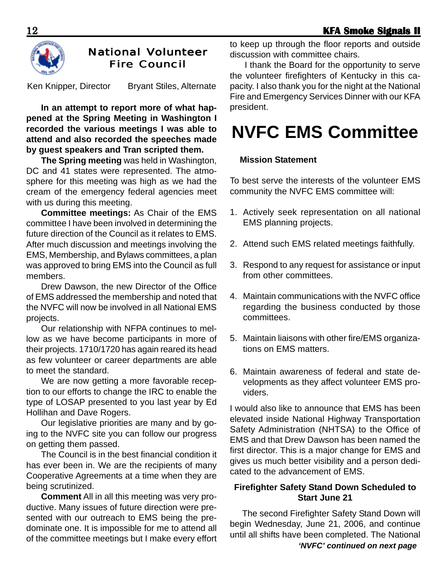

#### **National Volunteer Fire Council**

Ken Knipper, Director Bryant Stiles, Alternate

**In an attempt to report more of what happened at the Spring Meeting in Washington I recorded the various meetings I was able to attend and also recorded the speeches made by guest speakers and Tran scripted them.**

**The Spring meeting** was held in Washington, DC and 41 states were represented. The atmosphere for this meeting was high as we had the cream of the emergency federal agencies meet with us during this meeting.

**Committee meetings:** As Chair of the EMS committee I have been involved in determining the future direction of the Council as it relates to EMS. After much discussion and meetings involving the EMS, Membership, and Bylaws committees, a plan was approved to bring EMS into the Council as full members.

Drew Dawson, the new Director of the Office of EMS addressed the membership and noted that the NVFC will now be involved in all National EMS projects.

Our relationship with NFPA continues to mellow as we have become participants in more of their projects. 1710/1720 has again reared its head as few volunteer or career departments are able to meet the standard.

We are now getting a more favorable reception to our efforts to change the IRC to enable the type of LOSAP presented to you last year by Ed Hollihan and Dave Rogers.

Our legislative priorities are many and by going to the NVFC site you can follow our progress on getting them passed.

The Council is in the best financial condition it has ever been in. We are the recipients of many Cooperative Agreements at a time when they are being scrutinized.

**Comment** All in all this meeting was very productive. Many issues of future direction were presented with our outreach to EMS being the predominate one. It is impossible for me to attend all of the committee meetings but I make every effort to keep up through the floor reports and outside discussion with committee chairs.

I thank the Board for the opportunity to serve the volunteer firefighters of Kentucky in this capacity. I also thank you for the night at the National Fire and Emergency Services Dinner with our KFA president.

# **NVFC EMS Committee**

#### **Mission Statement**

To best serve the interests of the volunteer EMS community the NVFC EMS committee will:

- 1. Actively seek representation on all national EMS planning projects.
- 2. Attend such EMS related meetings faithfully.
- 3. Respond to any request for assistance or input from other committees.
- 4. Maintain communications with the NVFC office regarding the business conducted by those committees.
- 5. Maintain liaisons with other fire/EMS organizations on EMS matters.
- 6. Maintain awareness of federal and state developments as they affect volunteer EMS providers.

I would also like to announce that EMS has been elevated inside National Highway Transportation Safety Administration (NHTSA) to the Office of EMS and that Drew Dawson has been named the first director. This is a major change for EMS and gives us much better visibility and a person dedicated to the advancement of EMS.

#### **Firefighter Safety Stand Down Scheduled to Start June 21**

The second Firefighter Safety Stand Down will begin Wednesday, June 21, 2006, and continue until all shifts have been completed. The National *'NVFC' continued on next page*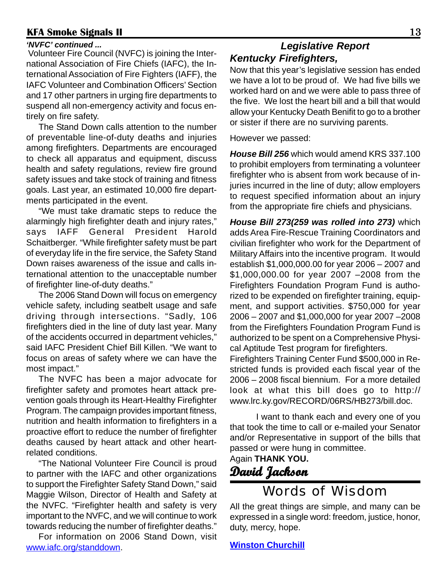#### *'NVFC' continued ...*

 Volunteer Fire Council (NVFC) is joining the International Association of Fire Chiefs (IAFC), the International Association of Fire Fighters (IAFF), the IAFC Volunteer and Combination Officers' Section and 17 other partners in urging fire departments to suspend all non-emergency activity and focus entirely on fire safety.

The Stand Down calls attention to the number of preventable line-of-duty deaths and injuries among firefighters. Departments are encouraged to check all apparatus and equipment, discuss health and safety regulations, review fire ground safety issues and take stock of training and fitness goals. Last year, an estimated 10,000 fire departments participated in the event.

 "We must take dramatic steps to reduce the alarmingly high firefighter death and injury rates," says IAFF General President Harold Schaitberger. "While firefighter safety must be part of everyday life in the fire service, the Safety Stand Down raises awareness of the issue and calls international attention to the unacceptable number of firefighter line-of-duty deaths."

 The 2006 Stand Down will focus on emergency vehicle safety, including seatbelt usage and safe driving through intersections. "Sadly, 106 firefighters died in the line of duty last year. Many of the accidents occurred in department vehicles," said IAFC President Chief Bill Killen. "We want to focus on areas of safety where we can have the most impact."

 The NVFC has been a major advocate for firefighter safety and promotes heart attack prevention goals through its Heart-Healthy Firefighter Program. The campaign provides important fitness, nutrition and health information to firefighters in a proactive effort to reduce the number of firefighter deaths caused by heart attack and other heartrelated conditions.

 "The National Volunteer Fire Council is proud to partner with the IAFC and other organizations to support the Firefighter Safety Stand Down," said Maggie Wilson, Director of Health and Safety at the NVFC. "Firefighter health and safety is very important to the NVFC, and we will continue to work towards reducing the number of firefighter deaths."

 For information on 2006 Stand Down, visit www.iafc.org/standdown.

#### *Legislative Report Kentucky Firefighters,*

Now that this year's legislative session has ended we have a lot to be proud of. We had five bills we worked hard on and we were able to pass three of the five. We lost the heart bill and a bill that would allow your Kentucky Death Benifit to go to a brother or sister if there are no surviving parents.

However we passed:

*House Bill 256* which would amend KRS 337.100 to prohibit employers from terminating a volunteer firefighter who is absent from work because of injuries incurred in the line of duty; allow employers to request specified information about an injury from the appropriate fire chiefs and physicians.

*House Bill 273(259 was rolled into 273)* which adds Area Fire-Rescue Training Coordinators and civilian firefighter who work for the Department of Military Affairs into the incentive program. It would establish \$1,000,000.00 for year 2006 – 2007 and \$1,000,000.00 for year 2007 –2008 from the Firefighters Foundation Program Fund is authorized to be expended on firefighter training, equipment, and support activities. \$750,000 for year 2006 – 2007 and \$1,000,000 for year 2007 –2008 from the Firefighters Foundation Program Fund is authorized to be spent on a Comprehensive Physical Aptitude Test program for firefighters.

Firefighters Training Center Fund \$500,000 in Restricted funds is provided each fiscal year of the 2006 – 2008 fiscal biennium. For a more detailed look at what this bill does go to http:// www.lrc.ky.gov/RECORD/06RS/HB273/bill.doc.

I want to thank each and every one of you that took the time to call or e-mailed your Senator and/or Representative in support of the bills that passed or were hung in committee.

Again **THANK YOU. David Jackson Jackson**

## Words of Wisdom

All the great things are simple, and many can be expressed in a single word: freedom, justice, honor, duty, mercy, hope.

**Winston Churchill**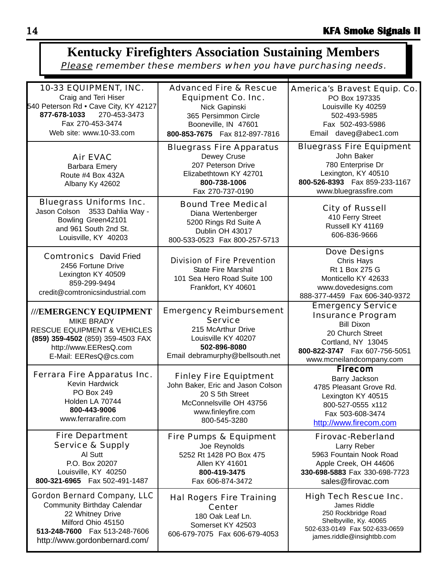#### 10-33 EQUIPMENT, INC. Craig and Teri Hiser 540 Peterson Rd • Cave City, KY 42127 **877-678-1033** 270-453-3473 Fax 270-453-3474 Web site: www.10-33.com Advanced Fire & Rescue Equipment Co. Inc. Nick Gapinski 365 Persimmon Circle Booneville, IN 47601 **800-853-7675** Fax 812-897-7816 Bluegrass Fire Equipment John Baker 780 Enterprise Dr Lexington, KY 40510 **800-526-8393** Fax 859-233-1167 www.bluegrassfire.com **Kentucky Firefighters Association Sustaining Members** Please remember these members when you have purchasing needs. Emergency Service Insurance Program Bill Dixon 20 Church Street Cortland, NY 13045 **800-822-3747** Fax 607-756-5051 www.mcneilandcompany.com Fire Department Service & Supply Al Sutt P.O. Box 20207 Louisville, KY 40250 **800-321-6965** Fax 502-491-1487 Hal Rogers Fire Training **Center** 180 Oak Leaf Ln. Somerset KY 42503 606-679-7075 Fax 606-679-4053 Air EVAC Barbara Emery Route #4 Box 432A Albany Ky 42602 Bluegrass Fire Apparatus Dewey Cruse 207 Peterson Drive Elizabethtown KY 42701 **800-738-1006** Fax 270-737-0190 Bluegrass Uniforms Inc. Jason Colson 3533 Dahlia Way - Bowling Green42101 and 961 South 2nd St. Louisville, KY 40203 Bound Tree Medical Diana Wertenberger 5200 Rings Rd Suite A Dublin OH 43017 800-533-0523 Fax 800-257-5713 Dove Designs Chris Hays Rt 1 Box 275 G Monticello KY 42633 www.dovedesigns.com 888-377-4459 Fax 606-340-9372 Ferrara Fire Apparatus Inc. Kevin Hardwick PO Box 249 Holden LA 70744 **800-443-9006** www.ferrarafire.com Fire Pumps & Equipment Joe Reynolds 5252 Rt 1428 PO Box 475 Allen KY 41601 **800-419-3475** Fax 606-874-3472 **Firecom** Barry Jackson 4785 Pleasant Grove Rd. Lexington KY 40515 800-527-0555 x112 Fax 503-608-3474 http://www.firecom.com City of Russell 410 Ferry Street Russell KY 41169 606-836-9666 **///EMERGENCY EQUIPMENT** MIKE BRADY RESCUE EQUIPMENT & VEHICLES **(859) 359-4502** (859) 359-4503 FAX http://www.EEResQ.com E-Mail: EEResQ@cs.com Firovac-Reberland Larry Reber 5963 Fountain Nook Road Apple Creek, OH 44606 **330-698-5883** Fax 330-698-7723 sales@firovac.com Comtronics David Fried 2456 Fortune Drive Lexington KY 40509 859-299-9494 credit@comtronicsindustrial.com High Tech Rescue Inc. James Riddle 250 Rockbridge Road Shelbyville, Ky. 40065 502-633-0149 Fax 502-633-0659 james.riddle@insightbb.com Finley Fire Equiptment John Baker, Eric and Jason Colson 20 S 5th Street McConnelsville OH 43756 www.finleyfire.com 800-545-3280 Division of Fire Prevention State Fire Marshal 101 Sea Hero Road Suite 100 Frankfort, KY 40601 Gordon Bernard Company, LLC Community Birthday Calendar 22 Whitney Drive Milford Ohio 45150 **513-248-7600** Fax 513-248-7606 http://www.gordonbernard.com/ Emergency Reimbursement **Service** 215 McArthur Drive Louisville KY 40207 **502-896-8080** Email debramurphy@bellsouth.net America's Bravest Equip. Co. PO Box 197335 Louisville Ky 40259 502-493-5985 Fax 502-493-5986 Email daveg@abec1.com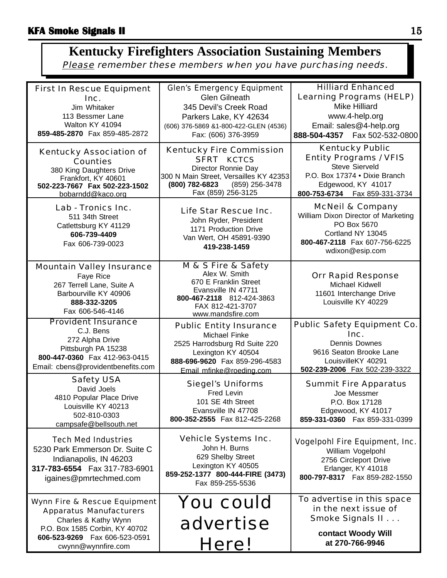#### **Kentucky Firefighters Association Sustaining Members** Please remember these members when you have purchasing needs.

| <b>First In Rescue Equipment</b><br>Inc.<br>Jim Whitaker<br>113 Bessmer Lane<br>Walton KY 41094<br>859-485-2870 Fax 859-485-2872                                                              | <b>Glen's Emergency Equipment</b><br><b>Glen Gilneath</b><br>345 Devil's Creek Road<br>Parkers Lake, KY 42634<br>(606) 376-5869 &1-800-422-GLEN (4536)<br>Fax: (606) 376-3959   | <b>Hilliard Enhanced</b><br><b>Learning Programs (HELP)</b><br><b>Mike Hilliard</b><br>www.4-help.org<br>Email: sales@4-help.org<br>888-504-4357    Fax 502-532-0800        |
|-----------------------------------------------------------------------------------------------------------------------------------------------------------------------------------------------|---------------------------------------------------------------------------------------------------------------------------------------------------------------------------------|-----------------------------------------------------------------------------------------------------------------------------------------------------------------------------|
| <b>Kentucky Association of</b><br><b>Counties</b><br>380 King Daughters Drive<br>Frankfort, KY 40601<br>502-223-7667 Fax 502-223-1502<br>bobarndd@kaco.org                                    | <b>Kentucky Fire Commission</b><br><b>SFRT KCTCS</b><br>Director Ronnie Day<br>300 N Main Street, Versailles KY 42353<br>(800) 782-6823<br>(859) 256-3478<br>Fax (859) 256-3125 | <b>Kentucky Public</b><br><b>Entity Programs / VFIS</b><br><b>Steve Sierveld</b><br>P.O. Box 17374 . Dixie Branch<br>Edgewood, KY 41017<br>800-753-6734    Fax 859-331-3734 |
| Lab - Tronics Inc.<br>511 34th Street<br>Catlettsburg KY 41129<br>606-739-4409<br>Fax 606-739-0023                                                                                            | Life Star Rescue Inc.<br>John Ryder, President<br>1171 Production Drive<br>Van Wert, OH 45891-9390<br>419-238-1459                                                              | <b>McNeil &amp; Company</b><br>William Dixon Director of Marketing<br>PO Box 5670<br>Cortland NY 13045<br>800-467-2118 Fax 607-756-6225<br>wdixon@esip.com                  |
| <b>Mountain Valley Insurance</b><br>Faye Rice<br>267 Terrell Lane, Suite A<br>Barbourville KY 40906<br>888-332-3205<br>Fax 606-546-4146                                                       | M & S Fire & Safety<br>Alex W. Smith<br>670 E Franklin Street<br>Evansville IN 47711<br>800-467-2118 812-424-3863<br>FAX 812-421-3707<br>www.mandsfire.com                      | <b>Orr Rapid Response</b><br>Michael Kidwell<br>11601 Interchange Drive<br>Louisville KY 40229                                                                              |
| <b>Provident Insurance</b><br>C.J. Bens<br>272 Alpha Drive<br>Pittsburgh PA 15238<br>800-447-0360 Fax 412-963-0415<br>Email: cbens@providentbenefits.com                                      | <b>Public Entity Insurance</b><br>Michael Finke<br>2525 Harrodsburg Rd Suite 220<br>Lexington KY 40504<br>888-696-9620 Fax 859-296-4583<br>Email mfinke@roeding.com             | <b>Public Safety Equipment Co.</b><br>Inc.<br><b>Dennis Downes</b><br>9616 Seaton Brooke Lane<br>LouisvilleKY 40291<br>502-239-2006 Fax 502-239-3322                        |
| <b>Safety USA</b><br>David Joels<br>4810 Popular Place Drive<br>Louisville KY 40213<br>502-810-0303<br>campsafe@bellsouth.net                                                                 | <b>Siegel's Uniforms</b><br>Fred Levin<br>101 SE 4th Street<br>Evansville IN 47708<br>800-352-2555 Fax 812-425-2268                                                             | <b>Summit Fire Apparatus</b><br>Joe Messmer<br>P.O. Box 17128<br>Edgewood, KY 41017<br>859-331-0360    Fax 859-331-0399                                                     |
| <b>Tech Med Industries</b><br>5230 Park Emmerson Dr. Suite C<br>Indianapolis, IN 46203<br>317-783-6554  Fax 317-783-6901<br>igaines@pmrtechmed.com                                            | <b>Vehicle Systems Inc.</b><br>John H. Burns<br>629 Shelby Street<br>Lexington KY 40505<br>859-252-1377 800-444-FIRE (3473)<br>Fax 859-255-5536                                 | <b>Vogelpohl Fire Equipment, Inc.</b><br>William Vogelpohl<br>2756 Circleport Drive<br>Erlanger, KY 41018<br>800-797-8317  Fax 859-282-1550                                 |
| <b>Wynn Fire &amp; Rescue Equipment</b><br><b>Apparatus Manufacturers</b><br>Charles & Kathy Wynn<br>P.O. Box 1585 Corbin, KY 40702<br>606-523-9269    Fax 606-523-0591<br>cwynn@wynnfire.com | <b>You could</b><br>advertise<br>Here!                                                                                                                                          | To advertise in this space<br>in the next issue of<br>Smoke Signals II<br>contact Woody Will<br>at 270-766-9946                                                             |